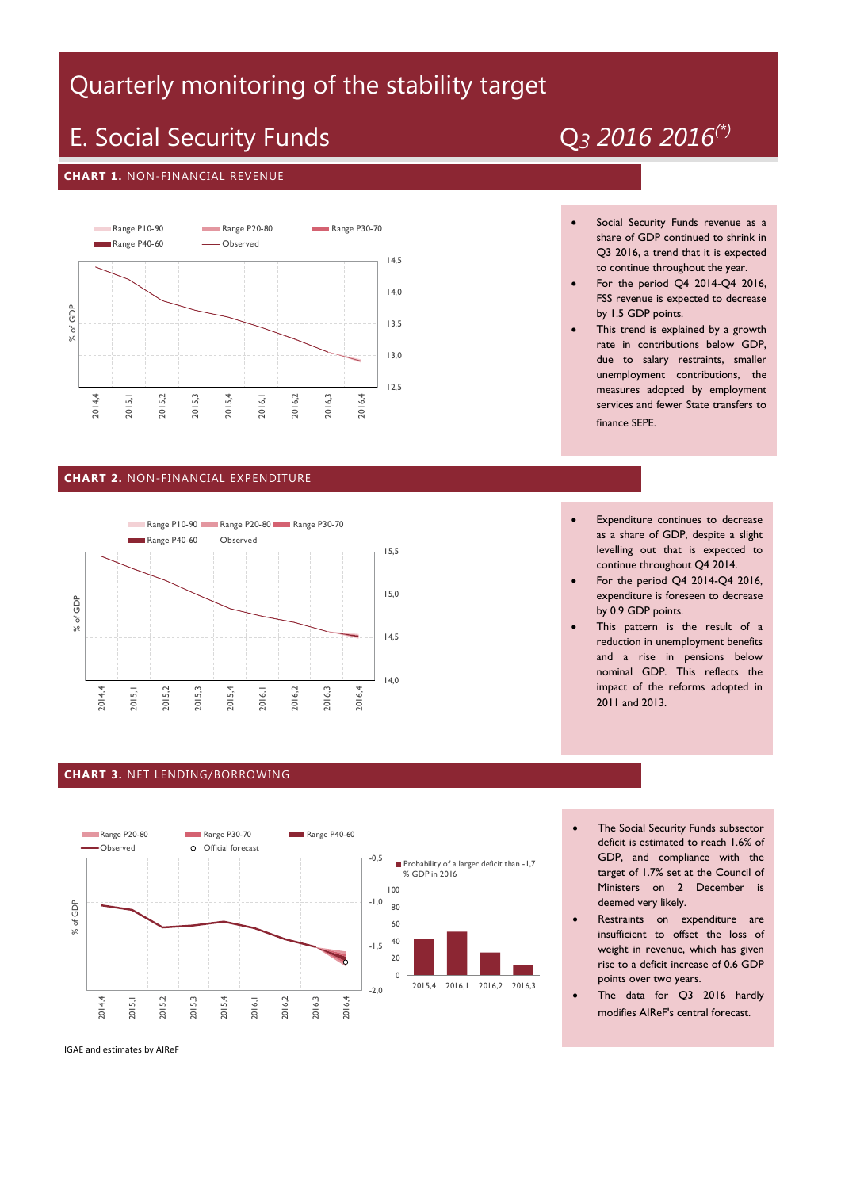# Quarterly monitoring of the stability target

# E. Social Security Funds Q*<sup>3</sup> 2016 2016(\*)*

#### **CHART 1.** NON-FINANCIAL REVENUE



### **CHART 2.** NON-FINANCIAL EXPENDITURE



#### **CHART 3.** NET LENDING/BORROWING



- Social Security Funds revenue as a share of GDP continued to shrink in Q3 2016, a trend that it is expected to continue throughout the year.
- For the period Q4 2014-Q4 2016, FSS revenue is expected to decrease by 1.5 GDP points.
- This trend is explained by a growth rate in contributions below GDP, due to salary restraints, smaller unemployment contributions, the measures adopted by employment services and fewer State transfers to finance SEPE.
- Expenditure continues to decrease as a share of GDP, despite a slight levelling out that is expected to continue throughout Q4 2014.
- For the period Q4 2014-Q4 2016, expenditure is foreseen to decrease by 0.9 GDP points.
- This pattern is the result of a reduction in unemployment benefits and a rise in pensions below nominal GDP. This reflects the impact of the reforms adopted in 2011 and 2013.
- The Social Security Funds subsector deficit is estimated to reach 1.6% of GDP, and compliance with the target of 1.7% set at the Council of Ministers on 2 December is deemed very likely.
- Restraints on expenditure are insufficient to offset the loss of weight in revenue, which has given rise to a deficit increase of 0.6 GDP points over two years.
- The data for Q3 2016 hardly modifies AIReF's central forecast.

#### IGAE and estimates by AIReF